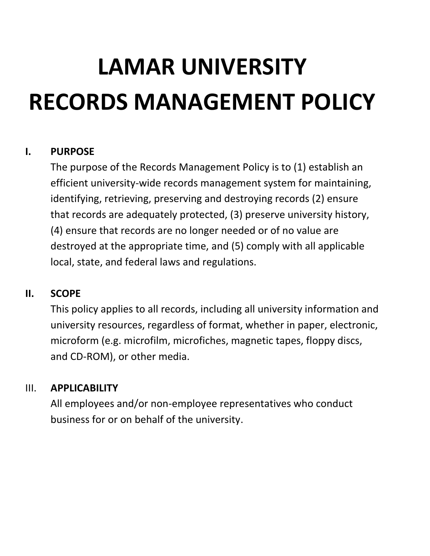# **LAMAR UNIVERSITY RECORDS MANAGEMENT POLICY**

#### **I. PURPOSE**

The purpose of the Records Management Policy is to (1) establish an efficient university-wide records management system for maintaining, identifying, retrieving, preserving and destroying records (2) ensure that records are adequately protected, (3) preserve university history, (4) ensure that records are no longer needed or of no value are destroyed at the appropriate time, and (5) comply with all applicable local, state, and federal laws and regulations.

#### **II. SCOPE**

This policy applies to all records, including all university information and university resources, regardless of format, whether in paper, electronic, microform (e.g. microfilm, microfiches, magnetic tapes, floppy discs, and CD-ROM), or other media.

#### III. **APPLICABILITY**

All employees and/or non-employee representatives who conduct business for or on behalf of the university.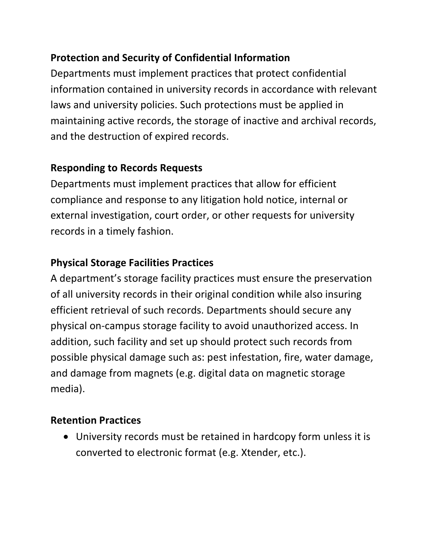## **Protection and Security of Confidential Information**

Departments must implement practices that protect confidential information contained in university records in accordance with relevant laws and university policies. Such protections must be applied in maintaining active records, the storage of inactive and archival records, and the destruction of expired records.

## **Responding to Records Requests**

Departments must implement practices that allow for efficient compliance and response to any litigation hold notice, internal or external investigation, court order, or other requests for university records in a timely fashion.

# **Physical Storage Facilities Practices**

A department's storage facility practices must ensure the preservation of all university records in their original condition while also insuring efficient retrieval of such records. Departments should secure any physical on-campus storage facility to avoid unauthorized access. In addition, such facility and set up should protect such records from possible physical damage such as: pest infestation, fire, water damage, and damage from magnets (e.g. digital data on magnetic storage media).

# **Retention Practices**

 University records must be retained in hardcopy form unless it is converted to electronic format (e.g. Xtender, etc.).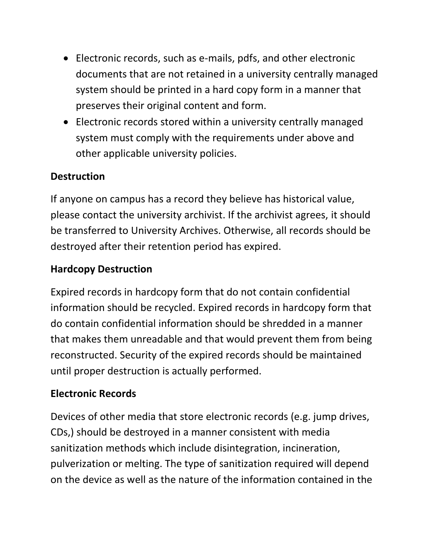- Electronic records, such as e-mails, pdfs, and other electronic documents that are not retained in a university centrally managed system should be printed in a hard copy form in a manner that preserves their original content and form.
- Electronic records stored within a university centrally managed system must comply with the requirements under above and other applicable university policies.

## **Destruction**

If anyone on campus has a record they believe has historical value, please contact the university archivist. If the archivist agrees, it should be transferred to University Archives. Otherwise, all records should be destroyed after their retention period has expired.

## **Hardcopy Destruction**

Expired records in hardcopy form that do not contain confidential information should be recycled. Expired records in hardcopy form that do contain confidential information should be shredded in a manner that makes them unreadable and that would prevent them from being reconstructed. Security of the expired records should be maintained until proper destruction is actually performed.

# **Electronic Records**

Devices of other media that store electronic records (e.g. jump drives, CDs,) should be destroyed in a manner consistent with media sanitization methods which include disintegration, incineration, pulverization or melting. The type of sanitization required will depend on the device as well as the nature of the information contained in the